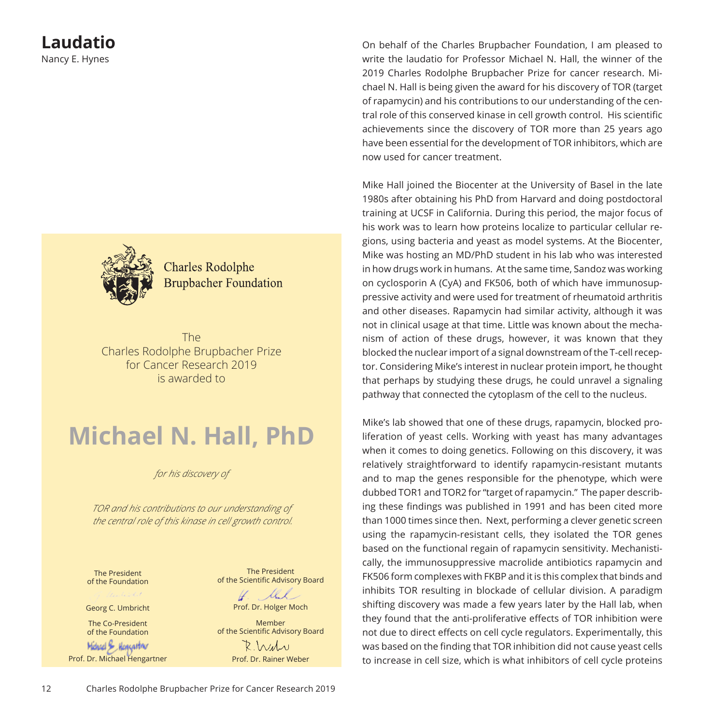

**Charles Rodolphe Brupbacher Foundation** 

The Charles Rodolphe Brupbacher Prize for Cancer Research 2019 is awarded to

# **Michael N. Hall, PhD**

*for his discovery of*

*TOR and his contributions to our understanding of the central role of this kinase in cell growth control.*

The President of the Foundation

Georg C. Umbricht

The Co-President of the Foundation

Michael & Hencastor Prof. Dr. Michael Hengartner

The President of the Scientific Advisory Board

H. ll Prof. Dr. Holger Moch

Member of the Scientific Advisory Board  $R$   $\mu\mu$ 

Prof. Dr. Rainer Weber

On behalf of the Charles Brupbacher Foundation, I am pleased to write the laudatio for Professor Michael N. Hall, the winner of the 2019 Charles Rodolphe Brupbacher Prize for cancer research. Michael N. Hall is being given the award for his discovery of TOR (target of rapamycin) and his contributions to our understanding of the central role of this conserved kinase in cell growth control. His scientific achievements since the discovery of TOR more than 25 years ago have been essential for the development of TOR inhibitors, which are now used for cancer treatment.

Mike Hall joined the Biocenter at the University of Basel in the late 1980s after obtaining his PhD from Harvard and doing postdoctoral training at UCSF in California. During this period, the major focus of his work was to learn how proteins localize to particular cellular regions, using bacteria and yeast as model systems. At the Biocenter, Mike was hosting an MD/PhD student in his lab who was interested in how drugs work in humans. At the same time, Sandoz was working on cyclosporin A (CyA) and FK506, both of which have immunosuppressive activity and were used for treatment of rheumatoid arthritis and other diseases. Rapamycin had similar activity, although it was not in clinical usage at that time. Little was known about the mechanism of action of these drugs, however, it was known that they blocked the nuclear import of a signal downstream of the T-cell receptor. Considering Mike's interest in nuclear protein import, he thought that perhaps by studying these drugs, he could unravel a signaling pathway that connected the cytoplasm of the cell to the nucleus.

Mike's lab showed that one of these drugs, rapamycin, blocked proliferation of yeast cells. Working with yeast has many advantages when it comes to doing genetics. Following on this discovery, it was relatively straightforward to identify rapamycin-resistant mutants and to map the genes responsible for the phenotype, which were dubbed TOR1 and TOR2 for "target of rapamycin." The paper describing these findings was published in 1991 and has been cited more than 1000 times since then. Next, performing a clever genetic screen using the rapamycin-resistant cells, they isolated the TOR genes based on the functional regain of rapamycin sensitivity. Mechanistically, the immunosuppressive macrolide antibiotics rapamycin and FK506 form complexes with FKBP and it is this complex that binds and inhibits TOR resulting in blockade of cellular division. A paradigm shifting discovery was made a few years later by the Hall lab, when they found that the anti-proliferative effects of TOR inhibition were not due to direct effects on cell cycle regulators. Experimentally, this was based on the finding that TOR inhibition did not cause yeast cells to increase in cell size, which is what inhibitors of cell cycle proteins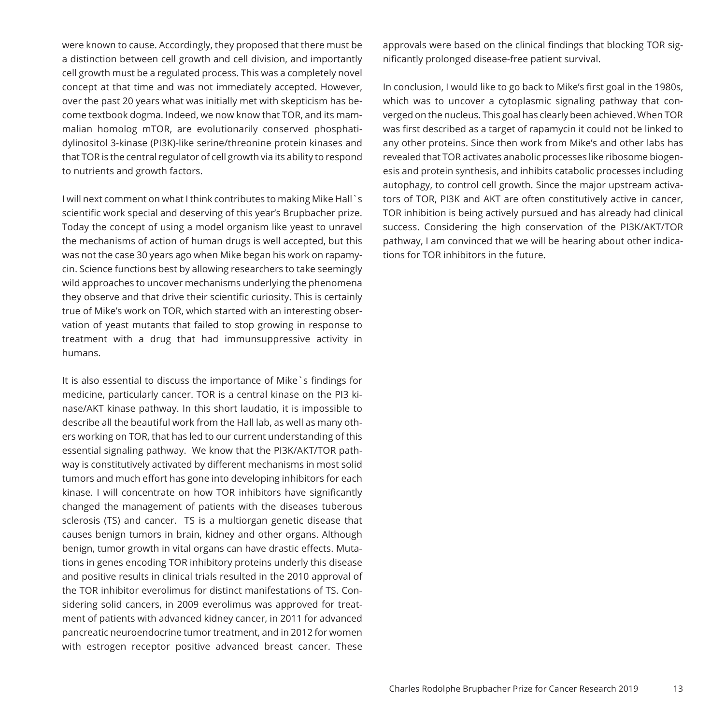were known to cause. Accordingly, they proposed that there must be a distinction between cell growth and cell division, and importantly cell growth must be a regulated process. This was a completely novel concept at that time and was not immediately accepted. However, over the past 20 years what was initially met with skepticism has become textbook dogma. Indeed, we now know that TOR, and its mammalian homolog mTOR, are evolutionarily conserved phosphatidylinositol 3-kinase (PI3K)-like serine/threonine protein kinases and that TOR is the central regulator of cell growth via its ability to respond to nutrients and growth factors.

I will next comment on what I think contributes to making Mike Hall`s scientific work special and deserving of this year's Brupbacher prize. Today the concept of using a model organism like yeast to unravel the mechanisms of action of human drugs is well accepted, but this was not the case 30 years ago when Mike began his work on rapamycin. Science functions best by allowing researchers to take seemingly wild approaches to uncover mechanisms underlying the phenomena they observe and that drive their scientific curiosity. This is certainly true of Mike's work on TOR, which started with an interesting observation of yeast mutants that failed to stop growing in response to treatment with a drug that had immunsuppressive activity in humans.

It is also essential to discuss the importance of Mike`s findings for medicine, particularly cancer. TOR is a central kinase on the PI3 kinase/AKT kinase pathway. In this short laudatio, it is impossible to describe all the beautiful work from the Hall lab, as well as many others working on TOR, that has led to our current understanding of this essential signaling pathway. We know that the PI3K/AKT/TOR pathway is constitutively activated by different mechanisms in most solid tumors and much effort has gone into developing inhibitors for each kinase. I will concentrate on how TOR inhibitors have significantly changed the management of patients with the diseases tuberous sclerosis (TS) and cancer. TS is a multiorgan genetic disease that causes benign tumors in brain, kidney and other organs. Although benign, tumor growth in vital organs can have drastic effects. Mutations in genes encoding TOR inhibitory proteins underly this disease and positive results in clinical trials resulted in the 2010 approval of the TOR inhibitor everolimus for distinct manifestations of TS. Considering solid cancers, in 2009 everolimus was approved for treatment of patients with advanced kidney cancer, in 2011 for advanced pancreatic neuroendocrine tumor treatment, and in 2012 for women with estrogen receptor positive advanced breast cancer. These

approvals were based on the clinical findings that blocking TOR significantly prolonged disease-free patient survival.

In conclusion, I would like to go back to Mike's first goal in the 1980s, which was to uncover a cytoplasmic signaling pathway that converged on the nucleus. This goal has clearly been achieved. When TOR was first described as a target of rapamycin it could not be linked to any other proteins. Since then work from Mike's and other labs has revealed that TOR activates anabolic processes like ribosome biogenesis and protein synthesis, and inhibits catabolic processes including autophagy, to control cell growth. Since the major upstream activators of TOR, PI3K and AKT are often constitutively active in cancer, TOR inhibition is being actively pursued and has already had clinical success. Considering the high conservation of the PI3K/AKT/TOR pathway, I am convinced that we will be hearing about other indications for TOR inhibitors in the future.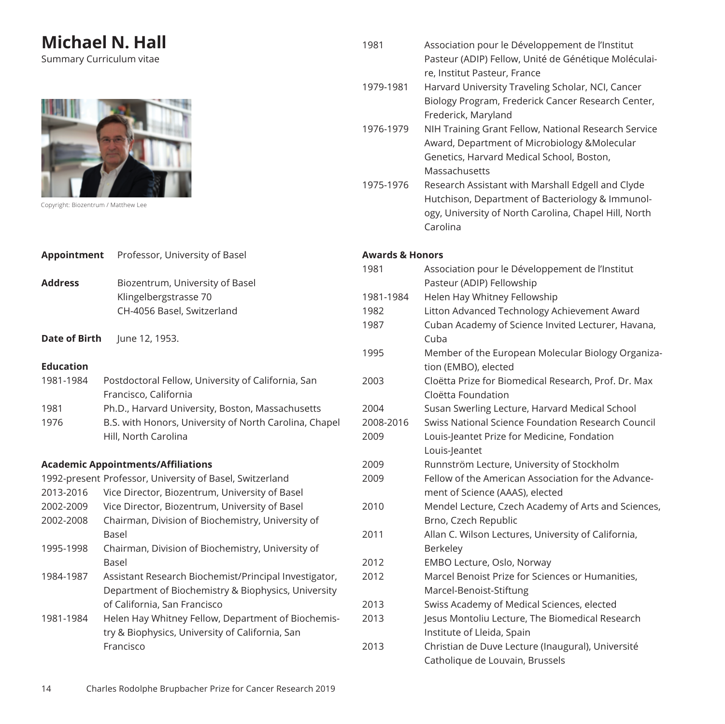## **Michael N. Hall**

Summary Curriculum vitae



Copyright: Biozentrum / Matthew Lee

| Appointment                                              | Professor, University of Basel                                                                                                               |  |
|----------------------------------------------------------|----------------------------------------------------------------------------------------------------------------------------------------------|--|
| <b>Address</b>                                           | Biozentrum, University of Basel<br>Klingelbergstrasse 70<br>CH-4056 Basel, Switzerland                                                       |  |
| Date of Birth                                            | June 12, 1953.                                                                                                                               |  |
| <b>Education</b>                                         |                                                                                                                                              |  |
| 1981-1984                                                | Postdoctoral Fellow, University of California, San<br>Francisco, California                                                                  |  |
| 1981                                                     | Ph.D., Harvard University, Boston, Massachusetts                                                                                             |  |
| 1976                                                     | B.S. with Honors, University of North Carolina, Chapel<br>Hill, North Carolina                                                               |  |
|                                                          | <b>Academic Appointments/Affiliations</b>                                                                                                    |  |
| 1992-present Professor, University of Basel, Switzerland |                                                                                                                                              |  |
| 2013-2016                                                | Vice Director, Biozentrum, University of Basel                                                                                               |  |
| 2002-2009                                                | Vice Director, Biozentrum, University of Basel                                                                                               |  |
| 2002-2008                                                | Chairman, Division of Biochemistry, University of<br><b>Basel</b>                                                                            |  |
| 1995-1998                                                | Chairman, Division of Biochemistry, University of<br><b>Basel</b>                                                                            |  |
| 1984-1987                                                | Assistant Research Biochemist/Principal Investigator,<br>Department of Biochemistry & Biophysics, University<br>of California, San Francisco |  |
| 1981-1984                                                | Helen Hay Whitney Fellow, Department of Biochemis-<br>try & Biophysics, University of California, San<br>Francisco                           |  |

|   | 1981                       | Association pour le Développement de l'Institut<br>Pasteur (ADIP) Fellow, Unité de Génétique Moléculai-                                                                    |
|---|----------------------------|----------------------------------------------------------------------------------------------------------------------------------------------------------------------------|
|   | 1979-1981                  | re, Institut Pasteur, France<br>Harvard University Traveling Scholar, NCI, Cancer<br>Biology Program, Frederick Cancer Research Center,<br>Frederick, Maryland             |
|   | 1976-1979                  | NIH Training Grant Fellow, National Research Service<br>Award, Department of Microbiology & Molecular<br>Genetics, Harvard Medical School, Boston,<br>Massachusetts        |
|   | 1975-1976                  | Research Assistant with Marshall Edgell and Clyde<br>Hutchison, Department of Bacteriology & Immunol-<br>ogy, University of North Carolina, Chapel Hill, North<br>Carolina |
|   | <b>Awards &amp; Honors</b> |                                                                                                                                                                            |
|   | 1981                       | Association pour le Développement de l'Institut<br>Pasteur (ADIP) Fellowship                                                                                               |
|   | 1981-1984                  | Helen Hay Whitney Fellowship                                                                                                                                               |
|   | 1982                       | Litton Advanced Technology Achievement Award                                                                                                                               |
|   | 1987                       | Cuban Academy of Science Invited Lecturer, Havana,<br>Cuba                                                                                                                 |
|   | 1995                       | Member of the European Molecular Biology Organiza-<br>tion (EMBO), elected                                                                                                 |
|   | 2003                       | Cloëtta Prize for Biomedical Research, Prof. Dr. Max<br>Cloëtta Foundation                                                                                                 |
|   | 2004                       | Susan Swerling Lecture, Harvard Medical School                                                                                                                             |
| ۱ | 2008-2016                  | Swiss National Science Foundation Research Council                                                                                                                         |
|   | 2009                       | Louis-Jeantet Prize for Medicine, Fondation<br>Louis-Jeantet                                                                                                               |
|   | 2009                       | Runnström Lecture, University of Stockholm                                                                                                                                 |
|   | 2009                       | Fellow of the American Association for the Advance-<br>ment of Science (AAAS), elected                                                                                     |
|   | 2010                       | Mendel Lecture, Czech Academy of Arts and Sciences,<br>Brno, Czech Republic                                                                                                |
|   | 2011                       | Allan C. Wilson Lectures, University of California,<br>Berkeley                                                                                                            |
|   | 2012                       | EMBO Lecture, Oslo, Norway                                                                                                                                                 |
|   | 2012                       | Marcel Benoist Prize for Sciences or Humanities,                                                                                                                           |
|   |                            | Marcel-Benoist-Stiftung                                                                                                                                                    |
|   | 2013                       | Swiss Academy of Medical Sciences, elected                                                                                                                                 |
|   | 2013                       | Jesus Montoliu Lecture, The Biomedical Research<br>Institute of Lleida, Spain                                                                                              |
|   | 2013                       | Christian de Duve Lecture (Inaugural), Université<br>Catholique de Louvain, Brussels                                                                                       |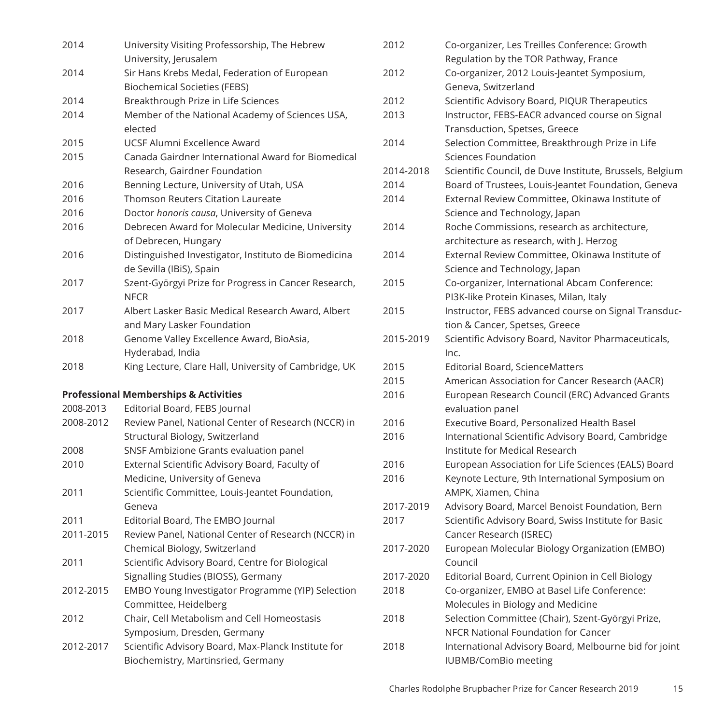| 2014      | University Visiting Professorship, The Hebrew         |
|-----------|-------------------------------------------------------|
|           | University, Jerusalem                                 |
| 2014      | Sir Hans Krebs Medal, Federation of European          |
|           | <b>Biochemical Societies (FEBS)</b>                   |
| 2014      | Breakthrough Prize in Life Sciences                   |
| 2014      | Member of the National Academy of Sciences USA,       |
|           | elected                                               |
| 2015      | UCSF Alumni Excellence Award                          |
| 2015      | Canada Gairdner International Award for Biomedical    |
|           | Research, Gairdner Foundation                         |
| 2016      | Benning Lecture, University of Utah, USA              |
| 2016      | Thomson Reuters Citation Laureate                     |
| 2016      | Doctor honoris causa, University of Geneva            |
| 2016      | Debrecen Award for Molecular Medicine, University     |
|           | of Debrecen, Hungary                                  |
| 2016      | Distinguished Investigator, Instituto de Biomedicina  |
|           | de Sevilla (IBiS), Spain                              |
| 2017      | Szent-Györgyi Prize for Progress in Cancer Research,  |
|           | <b>NFCR</b>                                           |
| 2017      | Albert Lasker Basic Medical Research Award, Albert    |
|           | and Mary Lasker Foundation                            |
| 2018      | Genome Valley Excellence Award, BioAsia,              |
|           | Hyderabad, India                                      |
| 2018      | King Lecture, Clare Hall, University of Cambridge, UK |
|           | <b>Professional Memberships &amp; Activities</b>      |
| 2008-2013 | Editorial Board, FEBS Journal                         |
| 2008-2012 | Review Panel, National Center of Research (NCCR) in   |
|           | Structural Biology, Switzerland                       |
| 2008      | SNSF Ambizione Grants evaluation panel                |
| 2010      |                                                       |
|           | External Scientific Advisory Board, Faculty of        |
|           | Medicine, University of Geneva                        |
| 2011      | Scientific Committee, Louis-Jeantet Foundation,       |
|           | Geneva                                                |
| 2011      | Editorial Board, The EMBO Journal                     |
| 2011-2015 | Review Panel, National Center of Research (NCCR) in   |
|           | Chemical Biology, Switzerland                         |
| 2011      | Scientific Advisory Board, Centre for Biological      |
|           | Signalling Studies (BIOSS), Germany                   |
| 2012-2015 | EMBO Young Investigator Programme (YIP) Selection     |
|           | Committee, Heidelberg                                 |
| 2012      | Chair, Cell Metabolism and Cell Homeostasis           |
|           | Symposium, Dresden, Germany                           |
| 2012-2017 | Scientific Advisory Board, Max-Planck Institute for   |

| 2012      | Co-organizer, Les Treilles Conference: Growth<br>Regulation by the TOR Pathway, France |
|-----------|----------------------------------------------------------------------------------------|
| 2012      | Co-organizer, 2012 Louis-Jeantet Symposium,                                            |
|           | Geneva, Switzerland                                                                    |
| 2012      | Scientific Advisory Board, PIQUR Therapeutics                                          |
| 2013      | Instructor, FEBS-EACR advanced course on Signal                                        |
|           | Transduction, Spetses, Greece                                                          |
| 2014      | Selection Committee, Breakthrough Prize in Life                                        |
|           | Sciences Foundation                                                                    |
| 2014-2018 | Scientific Council, de Duve Institute, Brussels, Belgium                               |
| 2014      | Board of Trustees, Louis-Jeantet Foundation, Geneva                                    |
| 2014      | External Review Committee, Okinawa Institute of                                        |
|           | Science and Technology, Japan                                                          |
| 2014      | Roche Commissions, research as architecture,                                           |
|           | architecture as research, with J. Herzog                                               |
| 2014      | External Review Committee, Okinawa Institute of                                        |
|           | Science and Technology, Japan                                                          |
| 2015      | Co-organizer, International Abcam Conference:                                          |
|           | PI3K-like Protein Kinases, Milan, Italy                                                |
| 2015      | Instructor, FEBS advanced course on Signal Transduc-                                   |
|           | tion & Cancer, Spetses, Greece                                                         |
| 2015-2019 | Scientific Advisory Board, Navitor Pharmaceuticals,                                    |
|           | Inc.                                                                                   |
| 2015      | <b>Editorial Board, ScienceMatters</b>                                                 |
| 2015      | American Association for Cancer Research (AACR)                                        |
| 2016      | European Research Council (ERC) Advanced Grants                                        |
|           | evaluation panel                                                                       |
| 2016      | <b>Executive Board, Personalized Health Basel</b>                                      |
| 2016      | International Scientific Advisory Board, Cambridge                                     |
|           | Institute for Medical Research                                                         |
| 2016      | European Association for Life Sciences (EALS) Board                                    |
| 2016      | Keynote Lecture, 9th International Symposium on                                        |
|           | AMPK, Xiamen, China                                                                    |
| 2017-2019 | Advisory Board, Marcel Benoist Foundation, Bern                                        |
| 2017      | Scientific Advisory Board, Swiss Institute for Basic                                   |
|           | Cancer Research (ISREC)                                                                |
| 2017-2020 | European Molecular Biology Organization (EMBO)                                         |
|           | Council                                                                                |
| 2017-2020 | Editorial Board, Current Opinion in Cell Biology                                       |
| 2018      | Co-organizer, EMBO at Basel Life Conference:                                           |
|           | Molecules in Biology and Medicine                                                      |
| 2018      | Selection Committee (Chair), Szent-Györgyi Prize,                                      |
|           | NFCR National Foundation for Cancer                                                    |
| 2018      | International Advisory Board, Melbourne bid for joint                                  |
|           | <b>IUBMB/ComBio meeting</b>                                                            |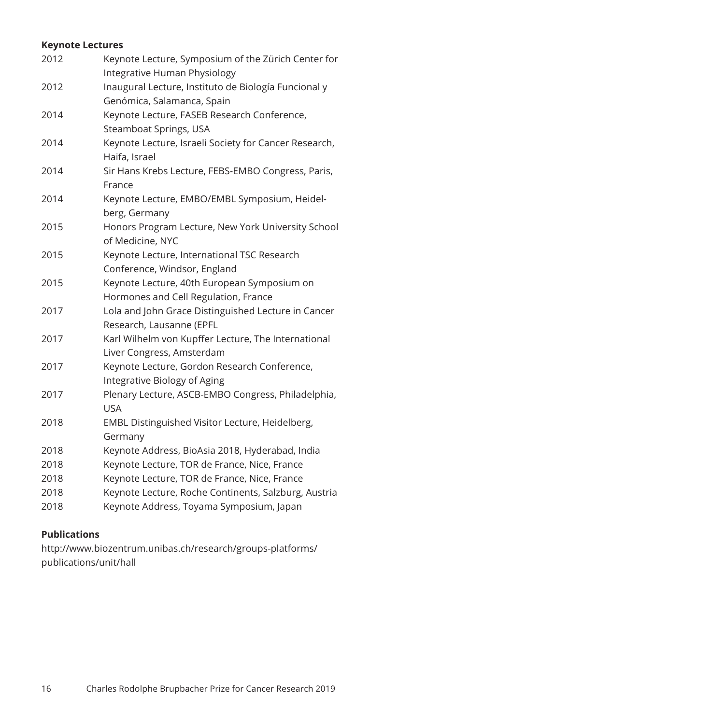#### **Keynote Lectures**

| 2012 | Keynote Lecture, Symposium of the Zürich Center for<br>Integrative Human Physiology |
|------|-------------------------------------------------------------------------------------|
| 2012 | Inaugural Lecture, Instituto de Biología Funcional y<br>Genómica, Salamanca, Spain  |
| 2014 | Keynote Lecture, FASEB Research Conference,<br>Steamboat Springs, USA               |
| 2014 | Keynote Lecture, Israeli Society for Cancer Research,<br>Haifa, Israel              |
| 2014 | Sir Hans Krebs Lecture, FEBS-EMBO Congress, Paris,<br>France                        |
| 2014 | Keynote Lecture, EMBO/EMBL Symposium, Heidel-<br>berg, Germany                      |
| 2015 | Honors Program Lecture, New York University School<br>of Medicine, NYC              |
| 2015 | Keynote Lecture, International TSC Research<br>Conference, Windsor, England         |
| 2015 | Keynote Lecture, 40th European Symposium on<br>Hormones and Cell Regulation, France |
| 2017 | Lola and John Grace Distinguished Lecture in Cancer<br>Research, Lausanne (EPFL     |
| 2017 | Karl Wilhelm von Kupffer Lecture, The International<br>Liver Congress, Amsterdam    |
| 2017 | Keynote Lecture, Gordon Research Conference,<br>Integrative Biology of Aging        |
| 2017 | Plenary Lecture, ASCB-EMBO Congress, Philadelphia,<br><b>USA</b>                    |
| 2018 | EMBL Distinguished Visitor Lecture, Heidelberg,<br>Germany                          |
| 2018 | Keynote Address, BioAsia 2018, Hyderabad, India                                     |
| 2018 | Keynote Lecture, TOR de France, Nice, France                                        |
| 2018 | Keynote Lecture, TOR de France, Nice, France                                        |
| 2018 | Keynote Lecture, Roche Continents, Salzburg, Austria                                |
| 2018 | Keynote Address, Toyama Symposium, Japan                                            |

### **Publications**

http://www.biozentrum.unibas.ch/research/groups-platforms/ publications/unit/hall